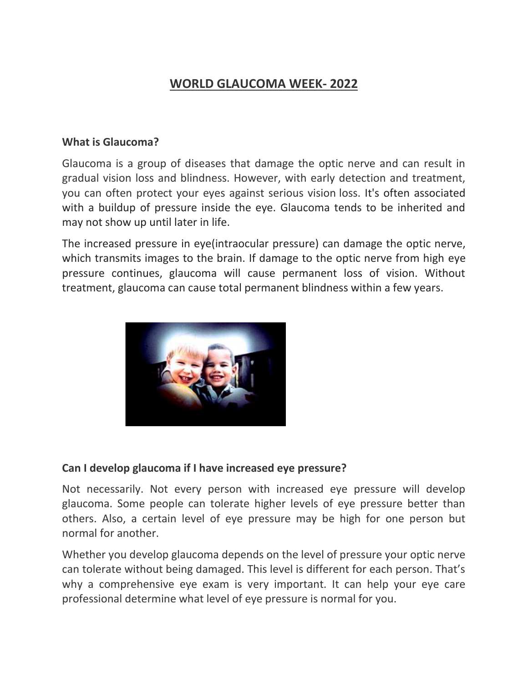# **WORLD GLAUCOMA WEEK- 2022**

#### **What is Glaucoma?**

Glaucoma is a group of diseases that damage the optic nerve and can result in gradual vision loss and blindness. However, with early detection and treatment, you can often protect your eyes against serious vision loss. It's often associated with a buildup of pressure inside the eye. Glaucoma tends to be inherited and may not show up until later in life.

The increased pressure in eye(intraocular pressure) can damage the optic nerve, which transmits images to the brain. If damage to the optic nerve from high eye pressure continues, glaucoma will cause permanent loss of vision. Without treatment, glaucoma can cause total permanent blindness within a few years.



#### **Can I develop glaucoma if I have increased eye pressure?**

Not necessarily. Not every person with increased eye pressure will develop glaucoma. Some people can tolerate higher levels of eye pressure better than others. Also, a certain level of eye pressure may be high for one person but normal for another.

Whether you develop glaucoma depends on the level of pressure your optic nerve can tolerate without being damaged. This level is different for each person. That's why a comprehensive eye exam is very important. It can help your eye care professional determine what level of eye pressure is normal for you.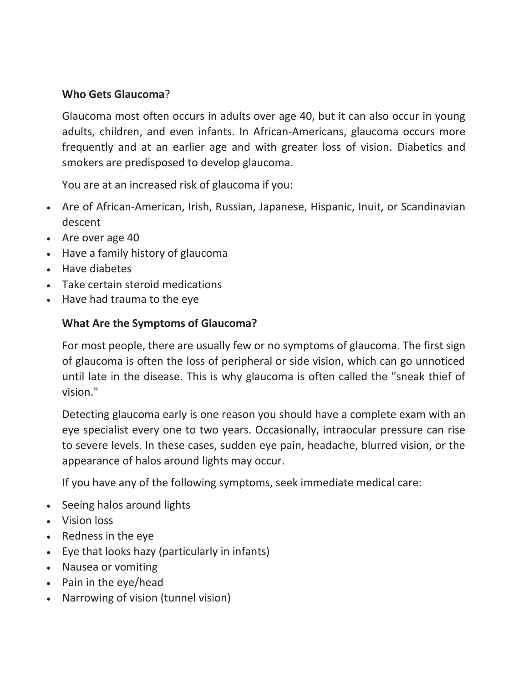## **Who Gets Glaucoma**?

Glaucoma most often occurs in adults over age 40, but it can also occur in young adults, children, and even infants. In African-Americans, glaucoma occurs more frequently and at an earlier age and with greater loss of vision. Diabetics and smokers are predisposed to develop glaucoma.

You are at an increased risk of glaucoma if you:

- Are of African-American, Irish, Russian, Japanese, Hispanic, Inuit, or Scandinavian descent
- Are over age 40
- Have a family history of glaucoma
- Have diabetes
- Take certain steroid medications
- Have had trauma to the eye

# **What Are the Symptoms of Glaucoma?**

For most people, there are usually few or no symptoms of glaucoma. The first sign of glaucoma is often the loss of peripheral or side vision, which can go unnoticed until late in the disease. This is why glaucoma is often called the "sneak thief of vision."

Detecting glaucoma early is one reason you should have a complete exam with an eye specialist every one to two years. Occasionally, intraocular pressure can rise to severe levels. In these cases, sudden eye pain, headache, blurred vision, or the appearance of halos around lights may occur.

If you have any of the following symptoms, seek immediate medical care:

- Seeing halos around lights
- Vision loss
- Redness in the eye
- Eye that looks hazy (particularly in infants)
- Nausea or vomiting
- Pain in the eye/head
- Narrowing of vision (tunnel vision)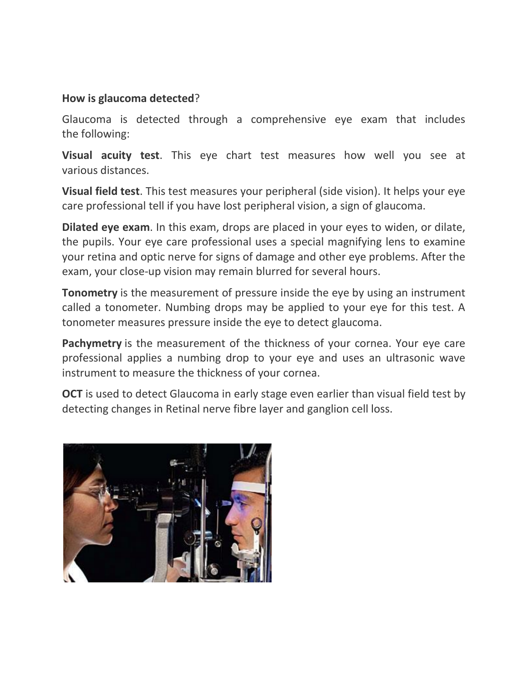#### **How is glaucoma detected**?

Glaucoma is detected through a comprehensive eye exam that includes the following:

**Visual acuity test**. This eye chart test measures how well you see at various distances.

**Visual field test**. This test measures your peripheral (side vision). It helps your eye care professional tell if you have lost peripheral vision, a sign of glaucoma.

**Dilated eye exam**. In this exam, drops are placed in your eyes to widen, or dilate, the pupils. Your eye care professional uses a special magnifying lens to examine your retina and optic nerve for signs of damage and other eye problems. After the exam, your close-up vision may remain blurred for several hours.

**Tonometry** is the measurement of pressure inside the eye by using an instrument called a tonometer. Numbing drops may be applied to your eye for this test. A tonometer measures pressure inside the eye to detect glaucoma.

**Pachymetry** is the measurement of the thickness of your cornea. Your eye care professional applies a numbing drop to your eye and uses an ultrasonic wave instrument to measure the thickness of your cornea.

**OCT** is used to detect Glaucoma in early stage even earlier than visual field test by detecting changes in Retinal nerve fibre layer and ganglion cell loss.

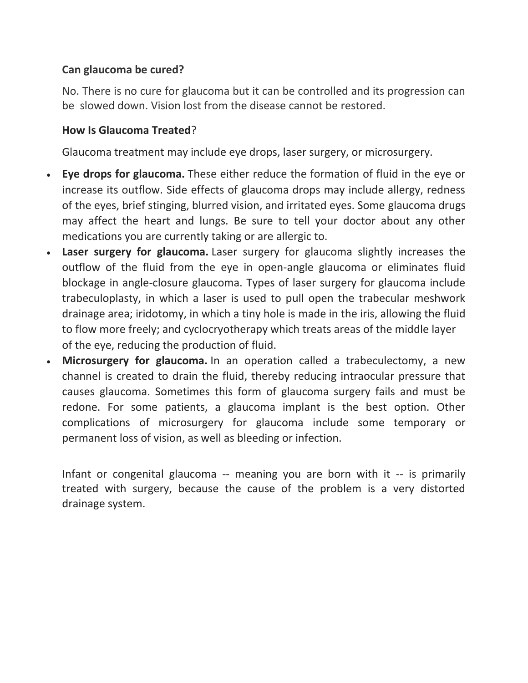## **Can glaucoma be cured?**

No. There is no cure for glaucoma but it can be controlled and its progression can be slowed down. Vision lost from the disease cannot be restored.

#### **How Is Glaucoma Treated**?

Glaucoma treatment may include eye drops, laser surgery, or microsurgery.

- **Eye drops for glaucoma.** These either reduce the formation of fluid in the eye or increase its outflow. Side effects of glaucoma drops may include allergy, redness of the eyes, brief stinging, blurred vision, and irritated eyes. Some glaucoma drugs may affect the heart and lungs. Be sure to tell your doctor about any other medications you are currently taking or are allergic to.
- **Laser surgery for glaucoma.** Laser surgery for glaucoma slightly increases the outflow of the fluid from the eye in open-angle glaucoma or eliminates fluid blockage in angle-closure glaucoma. Types of laser surgery for glaucoma include trabeculoplasty, in which a laser is used to pull open the trabecular meshwork drainage area; iridotomy, in which a tiny hole is made in the iris, allowing the fluid to flow more freely; and cyclocryotherapy which treats areas of the middle layer of the eye, reducing the production of fluid.
- **Microsurgery for glaucoma.** In an operation called a trabeculectomy, a new channel is created to drain the fluid, thereby reducing intraocular pressure that causes glaucoma. Sometimes this form of glaucoma surgery fails and must be redone. For some patients, a glaucoma implant is the best option. Other complications of microsurgery for glaucoma include some temporary or permanent loss of vision, as well as bleeding or infection.

Infant or congenital glaucoma -- meaning you are born with it -- is primarily treated with surgery, because the cause of the problem is a very distorted drainage system.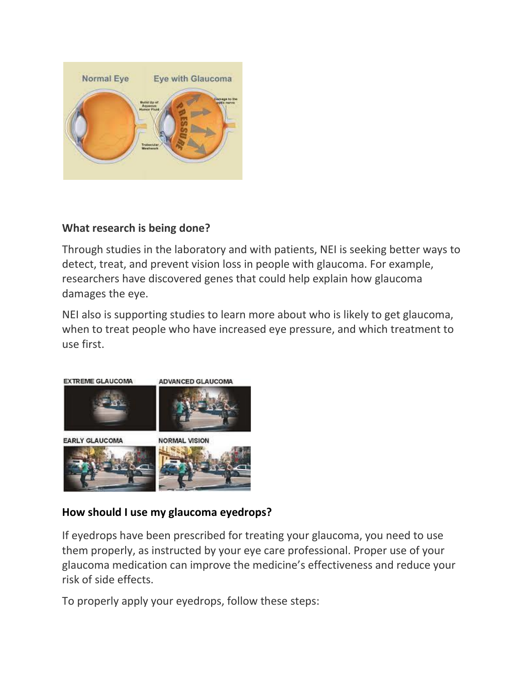

#### **What research is being done?**

Through studies in the laboratory and with patients, NEI is seeking better ways to detect, treat, and prevent vision loss in people with glaucoma. For example, researchers have discovered genes that could help explain how glaucoma damages the eye.

NEI also is supporting studies to learn more about who is likely to get glaucoma, when to treat people who have increased eye pressure, and which treatment to use first.



# **How should I use my glaucoma eyedrops?**

If eyedrops have been prescribed for treating your glaucoma, you need to use them properly, as instructed by your eye care professional. Proper use of your glaucoma medication can improve the medicine's effectiveness and reduce your risk of side effects.

To properly apply your eyedrops, follow these steps: